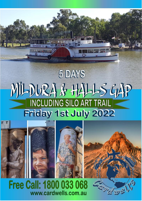# 5 DAYS MI-DURA & HALLS GAP **INCLUDING SILO ART TRAIL** Friday 1st July 2022



**SELFIQUE** 

**Free Call: 1800 033 068** www.cardwells.com.au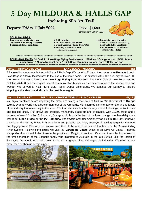# **5 Day MILDURA & HALLS GAP**

## **Including Silo Art Trail**

# Departs: Friday 1<sup>st</sup> July 2022

## Price \$1,680

(Single Room Option \$363)



## **TOUR INCLUDES:**

- ⧫ **Free passenger pickup & return** ⧫ **GST Inclusive** ⧫ **All Admission fees, sightseeing**
- 
- 
- 
- 
- ⧫ **Luggage labels & Name Badge** ⧫ **Quality Accommodation Twin / Dbl** ⧫ **Hot/Cold Buffet Breakfasts** 
	- - **(Where time & weather permits) extensive knowledge**
- **Please refer to the booking conditions)**  $\bullet$  **Luxury 5 Star Coach Travel Tours & Cruises as per itinerary** 
	- ◆ Morning & Afternoon Teas ◆ Experienced Crew with their

**\*\*\*\*\*\*\*\*\*\*\*\*\*\*\*\*\*\*\*\*\*\*\*\*\*\*\*\*\*\*\*\*\*\*\*\*\*\*\*\*\*\*\*\*\*\*\*\*\*\*\*\*\*\*\*\*\*\*\*\*\*\*\*\*\*\*\*\*\*\*\*\*\*\*\*\*\*\*\*\*\***

**TOUR HIGHLIGHTS: SILO ART \* Lake Boga Flying Boat Museum \* Mildura \* Orange World \* PV Rothbury Lunch Cruise \* Mungo National Park \* Stick Shed Brambuk National Park \* Halls Hap Zoo \*\*\*\*\*\*\*\*\*\*\*\*\*\*\*\*\*\*\*\*\*\*\*\*\*\*\*\*\*\*\*\*\*\*\*\*\*\*\*\*\*\*\*\*\*\*\*\*\*\*\*\*\*\*\*\*\*\*\*\*\*\*\*\*\*\*\*\*\*\*\*\*\*\*\*\*\*\*\*\*\***

#### **Day 1 – Friday 1st July 2022 LAKE BOGA – MILDURA (D)**

All aboard for a memorable tour to Mildura & Halls Gap**.** We travel to Echuca, then on to **Lake Boga** for Lunch. Lake Boga is a town, located next to the lake of the same name. It is situated within the rural city of Swan Hill. We take an interesting look at the **Lake Boga Flying Boat Museum**. The Lions Club of Lake Boga restored Catalina A24-30 and the original, secret communication bunker as a commemoration to the service men and woman who served at No.1 Flying Boat Repair Depot, Lake Boga. We continue our journey to Mildura stopping at the **Mercure Mildura** for the next three nights.

### **Day 2 – Saturday 2nd MILDURA – ORANGE WORLD – LUNCH CRUISE (B,L,D)**

We enjoy breakfast before departing the motel and taking a town tour of Mildura. We then travel to **Orange World.** Orange World has a tractor train tour of the Orchards, with informed commentary on the unique facets of the industry that relate only to this area. The tour also includes the nursery, varietal plantings, lookout tower and packing shed. Fruit grown are oranges, mandarins, grapefruit and avocados. With 10,000 trees and a turnover of over 20 million fruit annual, Orange world is truly the land of the living orange. We then delight in a wonderful **lunch cruise** on the **PV Rothbury.** The *[Paddle Steamer Rothbury](http://www.murrayriver.com.au/ps-melbourne-pv-rothbury-963/)* was built in 1881 at [Gunbower,](http://www.murrayriver.com.au/gunbower/) Victoria on the Murray River. Built as a large and powerful tow boat, employed in towing [barges](http://www.murrayriver.com.au/paddleboats/barges-and-paddle-steamers/) for the wool and logging trade. She was well known even then, to be one of the fastest tow boats on the [Murray-Darling](http://www.murrayriver.com.au/about-the-murray/murray-darling-basin/)  [River System.](http://www.murrayriver.com.au/about-the-murray/murray-darling-basin/) Following the cruise we visit the **Varapodio Estate** which is an Olive Oil Estate – named Varapodio after a small Italian town in the province of Reggio, in southern Calabria. It was the home town of the first generation of the Scopelliti family who migrated to Australia in the late 1940's. Like the region of Sunraysia, Varapodio was well known for its citrus, grape, olive and vegetable industries. We return to our motel for a freshen up before dinner.

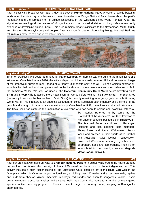### **Day 3 – Sunday 3rd**

#### **DISCOVER MUNGO NATIONAL PARK (B,D)** (B,D)

After a satisfying breakfast we have a day to discover **Mungo National Park.** Uncover a starkly beautiful landscape of ancient dry lake basins and sand formations in Mungo National Park. Learn about the park's megafauna and the formation of its unique landscape. In the Willandra Lakes World Heritage Area, the signature archaeological discoveries of Mungo Lady and the ochred skeleton of Mungo Man reveal early evidence of developing spiritual belief. This area remains greatly significant to the Ngyiampaa, Mutthi Mutthi and Southern Paakantyi Aboriginal people. After a wonderful day of discovering Mungo National Park we return to our motel to rest and relax before dinner.



#### **Day 4 – Monday 4th**

### **SILO ART – STAWELL (B,L,D)**

Time for breakfast! We depart and head for **Patchewollock** for morning tea and admire the magnificent **silo art works**. Completed in late 2016, the artist's depiction of the famously reserved Hulland portrays an image of the archetypal Aussie farmer – faded blue "flanny" (flannelette shirt) and all. Hulland's solemn expression, sun-bleached hair and squinting gaze speak to the harshness of the environment and the challenges of life in the Wimmera Mallee. We stop for lunch at the **Hopetoun Community Hotel Motel** before travelling on to **Brim** and **Sheep Hills** to admire more magnificent art works before visiting **The Stick Shed.** The Stick Shed (previously known as the Murtoa No. 1 Grain Store) is the only remaining emergency grain store built during World War II. This structure is an enduring testament to iconic Australian bush ingenuity and a symbol of the growth and strength of the Australian wheat industry. Completed in 1942, the unique and dramatic structure of The Stick Shed has captured the imagination of everyone who has seen its serene and evocative cathedral-



like interior. Referred to by some as the "Cathedral of the Wimmera". We then travel on to visit another beautiful painted silo in **Rupanyup –** The featured faces are those of Rupanyup residents and local sporting team members, Ebony Baker and Jordan Weidemann. Freshfaced and dressed in their sports attire (netball and Australian Rules football, respectively), Baker and Weidemann embody a youthful spirit of strength, hope and camaraderie. Then it's off to our hotel for our overnight stay at **Magdala Motor Lodge, Stawell.**

#### **Day 5 – Tuesday 5th**

#### **HALLS GAP ZOO - HOME (B)**

After our breakfast we make our way to **Brambuk National Park** for a guided walk around the native gardens and wetlands to discover the diversity of plants of Gariwerd and learn their traditional indigenous uses. This activity includes a bush tucker tasting at the Bushfoods Café. Then it's off to the **Halls Gap Zoo** in the Grampians, which is Victoria's largest regional zoo, exhibiting over 160 native and exotic mammals, reptiles and birds from cheetah, giraffe, meerkats, monkeys, red pandas and bison to kangaroos, koalas, Tassie devils, wombats, crocodiles, snakes and dingoes. Halls Gap Zoo is also home to a number of endangered species captive breeding programs. Then it's time to begin our journey home, stopping in Bendigo for afternoon tea.